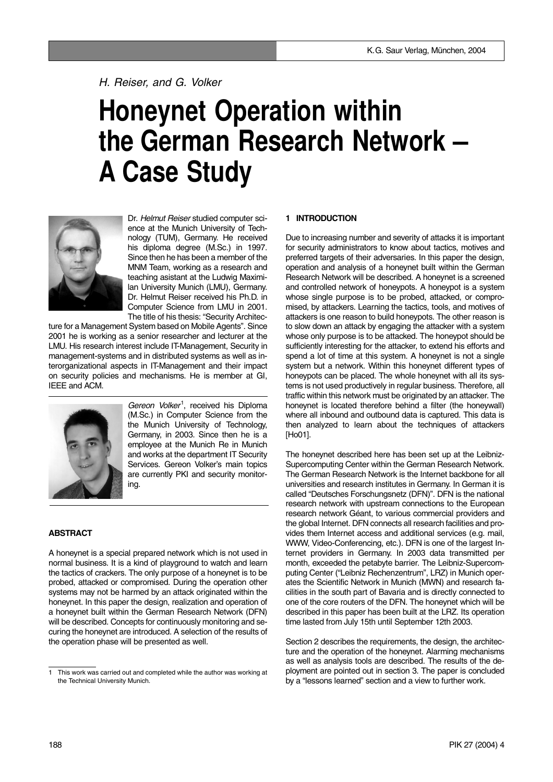## *H. Reiser, and G. Volker*

# **Honeynet Operation within the German Research Network – A Case Study**



Dr. *Helmut Reiser* studied computer science at the Munich University of Technology (TUM), Germany. He received his diploma degree (M.Sc.) in 1997. Since then he has been a member of the MNM Team, working as a research and teaching asistant at the Ludwig Maximilan University Munich (LMU), Germany. Dr. Helmut Reiser received his Ph.D. in Computer Science from LMU in 2001. The title of his thesis: "Security Architec-

ture for a Management System based on Mobile Agents". Since 2001 he is working as a senior researcher and lecturer at the LMU. His research interest include IT-Management, Security in management-systems and in distributed systems as well as interorganizational aspects in IT-Management and their impact on security policies and mechanisms. He is member at GI, IEEE and ACM.



Gereon Volker<sup>1</sup>, received his Diploma (M.Sc.) in Computer Science from the the Munich University of Technology, Germany, in 2003. Since then he is a employee at the Munich Re in Munich and works at the department IT Security Services. Gereon Volker's main topics are currently PKI and security monitoring.

## **ABSTRACT**

A honeynet is a special prepared network which is not used in normal business. It is a kind of playground to watch and learn the tactics of crackers. The only purpose of a honeynet is to be probed, attacked or compromised. During the operation other systems may not be harmed by an attack originated within the honeynet. In this paper the design, realization and operation of a honeynet built within the German Research Network (DFN) will be described. Concepts for continuously monitoring and securing the honeynet are introduced. A selection of the results of the operation phase will be presented as well.

## **1 INTRODUCTION**

Due to increasing number and severity of attacks it is important for security administrators to know about tactics, motives and preferred targets of their adversaries. In this paper the design, operation and analysis of a honeynet built within the German Research Network will be described. A honeynet is a screened and controlled network of honeypots. A honeypot is a system whose single purpose is to be probed, attacked, or compromised, by attackers. Learning the tactics, tools, and motives of attackers is one reason to build honeypots. The other reason is to slow down an attack by engaging the attacker with a system whose only purpose is to be attacked. The honeypot should be sufficiently interesting for the attacker, to extend his efforts and spend a lot of time at this system. A honeynet is not a single system but a network. Within this honeynet different types of honeypots can be placed. The whole honeynet with all its systems is not used productively in regular business. Therefore, all traffic within this network must be originated by an attacker. The honeynet is located therefore behind a filter (the honeywall) where all inbound and outbound data is captured. This data is then analyzed to learn about the techniques of attackers [Ho01].

The honeynet described here has been set up at the Leibniz-Supercomputing Center within the German Research Network. The German Research Network is the Internet backbone for all universities and research institutes in Germany. In German it is called "Deutsches Forschungsnetz (DFN)". DFN is the national research network with upstream connections to the European research network Géant, to various commercial providers and the global Internet. DFN connects all research facilities and provides them Internet access and additional services (e.g. mail, WWW, Video-Conferencing, etc.). DFN is one of the largest Internet providers in Germany. In 2003 data transmitted per month, exceeded the petabyte barrier. The Leibniz-Supercomputing Center ("Leibniz Rechenzentrum", LRZ) in Munich operates the Scientific Network in Munich (MWN) and research facilities in the south part of Bavaria and is directly connected to one of the core routers of the DFN. The honeynet which will be described in this paper has been built at the LRZ. Its operation time lasted from July 15th until September 12th 2003.

Section 2 describes the requirements, the design, the architecture and the operation of the honeynet. Alarming mechanisms as well as analysis tools are described. The results of the deployment are pointed out in section 3. The paper is concluded by a "lessons learned" section and a view to further work.

<sup>1</sup> This work was carried out and completed while the author was working at the Technical University Munich.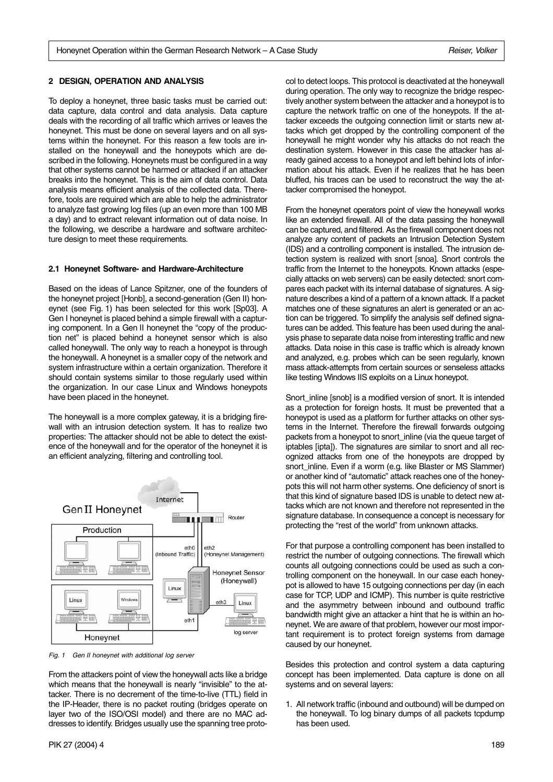## **2 DESIGN, OPERATION AND ANALYSIS**

To deploy a honeynet, three basic tasks must be carried out: data capture, data control and data analysis. Data capture deals with the recording of all traffic which arrives or leaves the honeynet. This must be done on several layers and on all systems within the honeynet. For this reason a few tools are installed on the honeywall and the honeypots which are described in the following. Honeynets must be configured in a way that other systems cannot be harmed or attacked if an attacker breaks into the honeynet. This is the aim of data control. Data analysis means efficient analysis of the collected data. Therefore, tools are required which are able to help the administrator to analyze fast growing log files (up an even more than 100 MB a day) and to extract relevant information out of data noise. In the following, we describe a hardware and software architecture design to meet these requirements.

## **2.1 Honeynet Software- and Hardware-Architecture**

Based on the ideas of Lance Spitzner, one of the founders of the honeynet project [Honb], a second-generation (Gen II) honeynet (see Fig. 1) has been selected for this work [Sp03]. A Gen I honeynet is placed behind a simple firewall with a capturing component. In a Gen II honeynet the "copy of the production net" is placed behind a honeynet sensor which is also called honeywall. The only way to reach a honeypot is through the honeywall. A honeynet is a smaller copy of the network and system infrastructure within a certain organization. Therefore it should contain systems similar to those regularly used within the organization. In our case Linux and Windows honeypots have been placed in the honeynet.

The honeywall is a more complex gateway, it is a bridging firewall with an intrusion detection system. It has to realize two properties: The attacker should not be able to detect the existence of the honeywall and for the operator of the honeynet it is an efficient analyzing, filtering and controlling tool.



*Fig. 1 Gen II honeynet with additional log server*

From the attackers point of view the honeywall acts like a bridge which means that the honeywall is nearly "invisible" to the attacker. There is no decrement of the time-to-live (TTL) field in the IP-Header, there is no packet routing (bridges operate on layer two of the ISO/OSI model) and there are no MAC addresses to identify. Bridges usually use the spanning tree protocol to detect loops. This protocol is deactivated at the honeywall during operation. The only way to recognize the bridge respectively another system between the attacker and a honeypot is to capture the network traffic on one of the honeypots. If the attacker exceeds the outgoing connection limit or starts new attacks which get dropped by the controlling component of the honeywall he might wonder why his attacks do not reach the destination system. However in this case the attacker has already gained access to a honeypot and left behind lots of information about his attack. Even if he realizes that he has been bluffed, his traces can be used to reconstruct the way the attacker compromised the honeypot.

From the honeynet operators point of view the honeywall works like an extended firewall. All of the data passing the honeywall can be captured, and filtered. As the firewall component does not analyze any content of packets an Intrusion Detection System (IDS) and a controlling component is installed. The intrusion detection system is realized with snort [snoa]. Snort controls the traffic from the Internet to the honeypots. Known attacks (especially attacks on web servers) can be easily detected: snort compares each packet with its internal database of signatures. A signature describes a kind of a pattern of a known attack. If a packet matches one of these signatures an alert is generated or an action can be triggered. To simplify the analysis self defined signatures can be added. This feature has been used during the analysis phase to separate data noise from interesting traffic and new attacks. Data noise in this case is traffic which is already known and analyzed, e.g. probes which can be seen regularly, known mass attack-attempts from certain sources or senseless attacks like testing Windows IIS exploits on a Linux honeypot.

Snort\_inline [snob] is a modified version of snort. It is intended as a protection for foreign hosts. It must be prevented that a honeypot is used as a platform for further attacks on other systems in the Internet. Therefore the firewall forwards outgoing packets from a honeypot to snort\_inline (via the queue target of iptables [ipta]). The signatures are similar to snort and all recognized attacks from one of the honeypots are dropped by snort inline. Even if a worm (e.g. like Blaster or MS Slammer) or another kind of "automatic" attack reaches one of the honeypots this will not harm other systems. One deficiency of snort is that this kind of signature based IDS is unable to detect new attacks which are not known and therefore not represented in the signature database. In consequence a concept is necessary for protecting the "rest of the world" from unknown attacks.

For that purpose a controlling component has been installed to restrict the number of outgoing connections. The firewall which counts all outgoing connections could be used as such a controlling component on the honeywall. In our case each honeypot is allowed to have 15 outgoing connections per day (in each case for TCP, UDP and ICMP). This number is quite restrictive and the asymmetry between inbound and outbound traffic bandwidth might give an attacker a hint that he is within an honeynet. We are aware of that problem, however our most important requirement is to protect foreign systems from damage caused by our honeynet.

Besides this protection and control system a data capturing concept has been implemented. Data capture is done on all systems and on several layers:

1. All network traffic (inbound and outbound) will be dumped on the honeywall. To log binary dumps of all packets tcpdump has been used.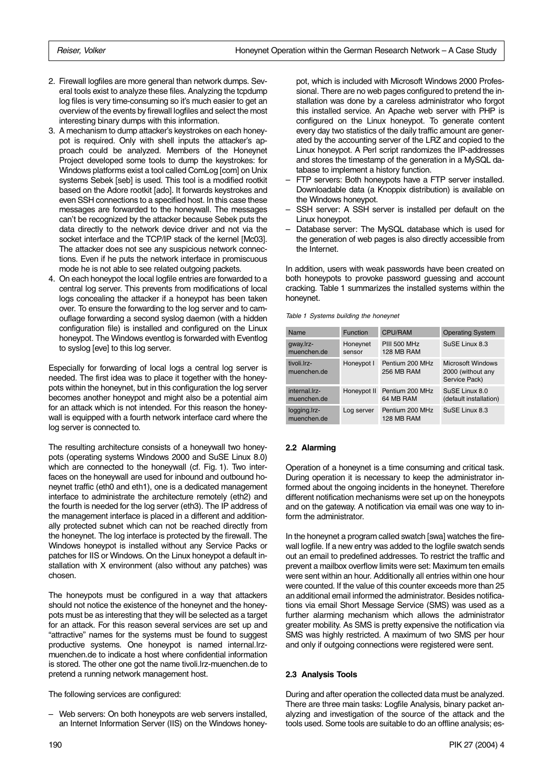- 2. Firewall logfiles are more general than network dumps. Several tools exist to analyze these files. Analyzing the tcpdump log files is very time-consuming so it's much easier to get an overview of the events by firewall logfiles and select the most interesting binary dumps with this information.
- 3. A mechanism to dump attacker's keystrokes on each honeypot is required. Only with shell inputs the attacker's approach could be analyzed. Members of the Honeynet Project developed some tools to dump the keystrokes: for Windows platforms exist a tool called ComLog [com] on Unix systems Sebek [seb] is used. This tool is a modified rootkit based on the Adore rootkit [ado]. It forwards keystrokes and even SSH connections to a specified host. In this case these messages are forwarded to the honeywall. The messages can't be recognized by the attacker because Sebek puts the data directly to the network device driver and not via the socket interface and the TCP/IP stack of the kernel [Mc03]. The attacker does not see any suspicious network connections. Even if he puts the network interface in promiscuous mode he is not able to see related outgoing packets.
- 4. On each honeypot the local logfile entries are forwarded to a central log server. This prevents from modifications of local logs concealing the attacker if a honeypot has been taken over. To ensure the forwarding to the log server and to camouflage forwarding a second syslog daemon (with a hidden configuration file) is installed and configured on the Linux honeypot. The Windows eventlog is forwarded with Eventlog to syslog [eve] to this log server.

Especially for forwarding of local logs a central log server is needed. The first idea was to place it together with the honeypots within the honeynet, but in this configuration the log server becomes another honeypot and might also be a potential aim for an attack which is not intended. For this reason the honeywall is equipped with a fourth network interface card where the log server is connected to.

The resulting architecture consists of a honeywall two honeypots (operating systems Windows 2000 and SuSE Linux 8.0) which are connected to the honeywall (cf. Fig. 1). Two interfaces on the honeywall are used for inbound and outbound honeynet traffic (eth0 and eth1), one is a dedicated management interface to administrate the architecture remotely (eth2) and the fourth is needed for the log server (eth3). The IP address of the management interface is placed in a different and additionally protected subnet which can not be reached directly from the honeynet. The log interface is protected by the firewall. The Windows honeypot is installed without any Service Packs or patches for IIS or Windows. On the Linux honeypot a default installation with X environment (also without any patches) was chosen.

The honeypots must be configured in a way that attackers should not notice the existence of the honeynet and the honeypots must be as interesting that they will be selected as a target for an attack. For this reason several services are set up and "attractive" names for the systems must be found to suggest productive systems. One honeypot is named internal.lrzmuenchen.de to indicate a host where confidential information is stored. The other one got the name tivoli.lrz-muenchen.de to pretend a running network management host.

The following services are configured:

– Web servers: On both honeypots are web servers installed, an Internet Information Server (IIS) on the Windows honeypot, which is included with Microsoft Windows 2000 Professional. There are no web pages configured to pretend the installation was done by a careless administrator who forgot this installed service. An Apache web server with PHP is configured on the Linux honeypot. To generate content every day two statistics of the daily traffic amount are generated by the accounting server of the LRZ and copied to the Linux honeypot. A Perl script randomizes the IP-addresses and stores the timestamp of the generation in a MySQL database to implement a history function.

- FTP servers: Both honeypots have a FTP server installed. Downloadable data (a Knoppix distribution) is available on the Windows honeypot.
- SSH server: A SSH server is installed per default on the Linux honeypot.
- Database server: The MySQL database which is used for the generation of web pages is also directly accessible from the Internet.

In addition, users with weak passwords have been created on both honeypots to provoke password guessing and account cracking. Table 1 summarizes the installed systems within the honeynet.

*Table 1 Systems building the honeynet*

| Name                         | <b>Function</b>    | <b>CPU/RAM</b>                    | <b>Operating System</b>                                        |
|------------------------------|--------------------|-----------------------------------|----------------------------------------------------------------|
| qway.lrz-<br>muenchen.de     | Honeynet<br>sensor | <b>PIII 500 MHz</b><br>128 MB RAM | SuSE Linux 8.3                                                 |
| tivoli.lrz-<br>muenchen.de   | Honeypot I         | Pentium 200 MHz<br>256 MB RAM     | <b>Microsoft Windows</b><br>2000 (without any<br>Service Pack) |
| internal Irz-<br>muenchen.de | Honeypot II        | Pentium 200 MHz<br>64 MB RAM      | SuSE Linux 8.0<br>(default installation)                       |
| logging.lrz-<br>muenchen.de  | Log server         | Pentium 200 MHz<br>128 MB RAM     | SuSE Linux 8.3                                                 |

## **2.2 Alarming**

Operation of a honeynet is a time consuming and critical task. During operation it is necessary to keep the administrator informed about the ongoing incidents in the honeynet. Therefore different notification mechanisms were set up on the honeypots and on the gateway. A notification via email was one way to inform the administrator.

In the honeynet a program called swatch [swa] watches the firewall logfile. If a new entry was added to the logfile swatch sends out an email to predefined addresses. To restrict the traffic and prevent a mailbox overflow limits were set: Maximum ten emails were sent within an hour. Additionally all entries within one hour were counted. If the value of this counter exceeds more than 25 an additional email informed the administrator. Besides notifications via email Short Message Service (SMS) was used as a further alarming mechanism which allows the administrator greater mobility. As SMS is pretty expensive the notification via SMS was highly restricted. A maximum of two SMS per hour and only if outgoing connections were registered were sent.

## **2.3 Analysis Tools**

During and after operation the collected data must be analyzed. There are three main tasks: Logfile Analysis, binary packet analyzing and investigation of the source of the attack and the tools used. Some tools are suitable to do an offline analysis; es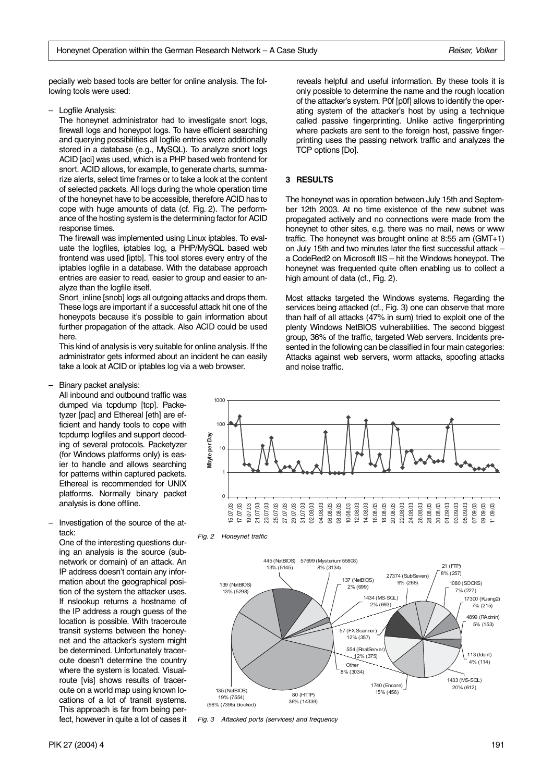pecially web based tools are better for online analysis. The following tools were used:

– Logfile Analysis:

The honeynet administrator had to investigate snort logs, firewall logs and honeypot logs. To have efficient searching and querying possibilities all logfile entries were additionally stored in a database (e.g., MySQL). To analyze snort logs ACID [aci] was used, which is a PHP based web frontend for snort. ACID allows, for example, to generate charts, summarize alerts, select time frames or to take a look at the content of selected packets. All logs during the whole operation time of the honeynet have to be accessible, therefore ACID has to cope with huge amounts of data (cf. Fig. 2). The performance of the hosting system is the determining factor for ACID response times.

The firewall was implemented using Linux iptables. To evaluate the logfiles, iptables log, a PHP/MySQL based web frontend was used [iptb]. This tool stores every entry of the iptables logfile in a database. With the database approach entries are easier to read, easier to group and easier to analyze than the logfile itself.

Snort inline [snob] logs all outgoing attacks and drops them. These logs are important if a successful attack hit one of the honeypots because it's possible to gain information about further propagation of the attack. Also ACID could be used here.

This kind of analysis is very suitable for online analysis. If the administrator gets informed about an incident he can easily take a look at ACID or iptables log via a web browser.

– Binary packet analysis:

All inbound and outbound traffic was dumped via tcpdump [tcp]. Packetyzer [pac] and Ethereal [eth] are efficient and handy tools to cope with tcpdump logfiles and support decoding of several protocols. Packetyzer (for Windows platforms only) is easier to handle and allows searching for patterns within captured packets. Ethereal is recommended for UNIX platforms. Normally binary packet analysis is done offline.

– Investigation of the source of the attack:

One of the interesting questions during an analysis is the source (subnetwork or domain) of an attack. An IP address doesn't contain any information about the geographical position of the system the attacker uses. If nslookup returns a hostname of the IP address a rough guess of the location is possible. With traceroute transit systems between the honeynet and the attacker's system might be determined. Unfortunately traceroute doesn't determine the country where the system is located. Visualroute [vis] shows results of traceroute on a world map using known locations of a lot of transit systems. This approach is far from being perfect, however in quite a lot of cases it reveals helpful and useful information. By these tools it is only possible to determine the name and the rough location of the attacker's system. P0f [p0f] allows to identify the operating system of the attacker's host by using a technique called passive fingerprinting. Unlike active fingerprinting where packets are sent to the foreign host, passive fingerprinting uses the passing network traffic and analyzes the TCP options [Do].

## **3 RESULTS**

The honeynet was in operation between July 15th and September 12th 2003. At no time existence of the new subnet was propagated actively and no connections were made from the honeynet to other sites, e.g. there was no mail, news or www traffic. The honeynet was brought online at 8:55 am (GMT+1) on July 15th and two minutes later the first successful attack – a CodeRed2 on Microsoft IIS – hit the Windows honeypot. The honeynet was frequented quite often enabling us to collect a high amount of data (cf., Fig. 2).

Most attacks targeted the Windows systems. Regarding the services being attacked (cf., Fig. 3) one can observe that more than half of all attacks (47% in sum) tried to exploit one of the plenty Windows NetBIOS vulnerabilities. The second biggest group, 36% of the traffic, targeted Web servers. Incidents presented in the following can be classified in four main categories: Attacks against web servers, worm attacks, spoofing attacks and noise traffic.







*Fig. 3 Attacked ports (services) and frequency*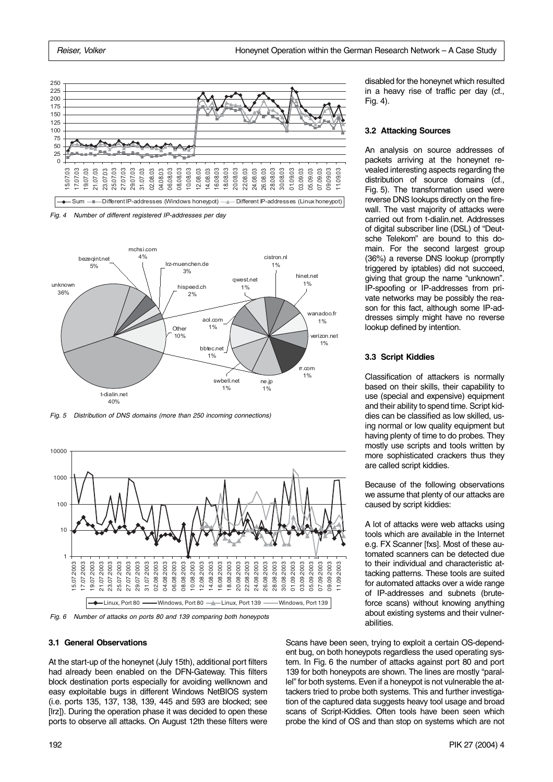

*Fig. 4 Number of different registered IP-addresses per day*



*Fig. 5 Distribution of DNS domains (more than 250 incoming connections)*



*Fig. 6 Number of attacks on ports 80 and 139 comparing both honeypots*

disabled for the honeynet which resulted in a heavy rise of traffic per day (cf.,  $Fin. 4$ ).

#### **3.2 Attacking Sources**

An analysis on source addresses of packets arriving at the honeynet revealed interesting aspects regarding the distribution of source domains (cf., Fig. 5). The transformation used were reverse DNS lookups directly on the firewall. The vast majority of attacks were carried out from t-dialin.net. Addresses of digital subscriber line (DSL) of "Deutsche Telekom" are bound to this domain. For the second largest group (36%) a reverse DNS lookup (promptly triggered by iptables) did not succeed, giving that group the name "unknown". IP-spoofing or IP-addresses from private networks may be possibly the reason for this fact, although some IP-addresses simply might have no reverse lookup defined by intention.

#### **3.3 Script Kiddies**

Classification of attackers is normally based on their skills, their capability to use (special and expensive) equipment and their ability to spend time. Script kiddies can be classified as low skilled, using normal or low quality equipment but having plenty of time to do probes. They mostly use scripts and tools written by more sophisticated crackers thus they are called script kiddies.

Because of the following observations we assume that plenty of our attacks are caused by script kiddies:

A lot of attacks were web attacks using tools which are available in the Internet e.g. FX Scanner [fxs]. Most of these automated scanners can be detected due to their individual and characteristic attacking patterns. These tools are suited for automated attacks over a wide range of IP-addresses and subnets (bruteforce scans) without knowing anything about existing systems and their vulnerabilities.

#### **3.1 General Observations**

At the start-up of the honeynet (July 15th), additional port filters had already been enabled on the DFN-Gateway. This filters block destination ports especially for avoiding wellknown and easy exploitable bugs in different Windows NetBIOS system (i.e. ports 135, 137, 138, 139, 445 and 593 are blocked; see [Irz]). During the operation phase it was decided to open these ports to observe all attacks. On August 12th these filters were

Scans have been seen, trying to exploit a certain OS-dependent bug, on both honeypots regardless the used operating system. In Fig. 6 the number of attacks against port 80 and port 139 for both honeypots are shown. The lines are mostly "parallel" for both systems. Even if a honeypot is not vulnerable the attackers tried to probe both systems. This and further investigation of the captured data suggests heavy tool usage and broad scans of Script-Kiddies. Often tools have been seen which probe the kind of OS and than stop on systems which are not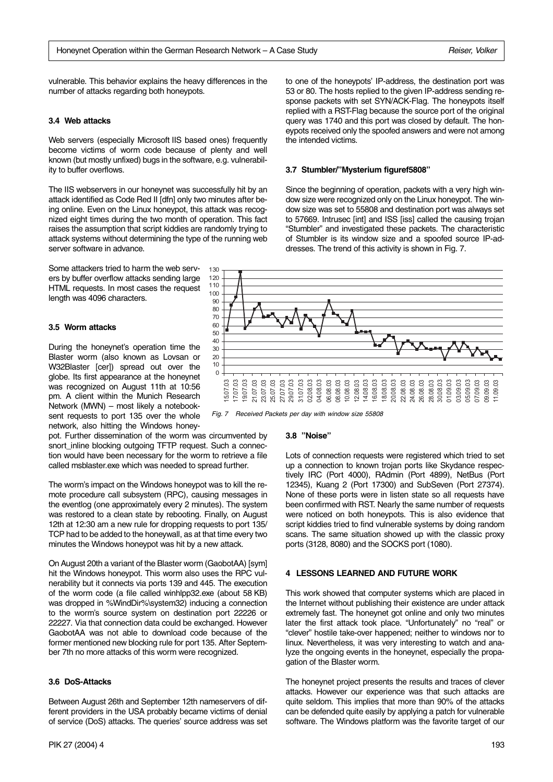vulnerable. This behavior explains the heavy differences in the number of attacks regarding both honeypots.

## **3.4 Web attacks**

Web servers (especially Microsoft IIS based ones) frequently become victims of worm code because of plenty and well known (but mostly unfixed) bugs in the software, e.g. vulnerability to buffer overflows.

The IIS webservers in our honeynet was successfully hit by an attack identified as Code Red II [dfn] only two minutes after being online. Even on the Linux honeypot, this attack was recognized eight times during the two month of operation. This fact raises the assumption that script kiddies are randomly trying to attack systems without determining the type of the running web server software in advance.

Some attackers tried to harm the web servers by buffer overflow attacks sending large HTML requests. In most cases the request length was 4096 characters.

## **3.5 Worm attacks**

During the honeynet's operation time the Blaster worm (also known as Lovsan or W32Blaster [cer]) spread out over the globe. Its first appearance at the honeynet was recognized on August 11th at 10:56 pm. A client within the Munich Research Network (MWN) – most likely a notebooksent requests to port 135 over the whole network, also hitting the Windows honey-

pot. Further dissemination of the worm was circumvented by snort\_inline blocking outgoing TFTP request. Such a connection would have been necessary for the worm to retrieve a file called msblaster.exe which was needed to spread further.

The worm's impact on the Windows honeypot was to kill the remote procedure call subsystem (RPC), causing messages in the eventlog (one approximately every 2 minutes). The system was restored to a clean state by rebooting. Finally, on August 12th at 12:30 am a new rule for dropping requests to port 135/ TCP had to be added to the honeywall, as at that time every two minutes the Windows honeypot was hit by a new attack.

On August 20th a variant of the Blaster worm (GaobotAA) [sym] hit the Windows honeypot. This worm also uses the RPC vulnerability but it connects via ports 139 and 445. The execution of the worm code (a file called winhlpp32.exe (about 58 KB) was dropped in %WindDir%\system32) inducing a connection to the worm's source system on destination port 22226 or 22227. Via that connection data could be exchanged. However GaobotAA was not able to download code because of the former mentioned new blocking rule for port 135. After September 7th no more attacks of this worm were recognized.

## **3.6 DoS-Attacks**

Between August 26th and September 12th nameservers of different providers in the USA probably became victims of denial of service (DoS) attacks. The queries' source address was set to one of the honeypots' IP-address, the destination port was 53 or 80. The hosts replied to the given IP-address sending response packets with set SYN/ACK-Flag. The honeypots itself replied with a RST-Flag because the source port of the original query was 1740 and this port was closed by default. The honeypots received only the spoofed answers and were not among the intended victims.

#### **3.7 Stumbler/"Mysterium figuref5808"**

Since the beginning of operation, packets with a very high window size were recognized only on the Linux honeypot. The window size was set to 55808 and destination port was always set to 57669. Intrusec [int] and ISS [iss] called the causing trojan "Stumbler" and investigated these packets. The characteristic of Stumbler is its window size and a spoofed source IP-addresses. The trend of this activity is shown in Fig. 7.



*Fig. 7 Received Packets per day with window size 55808*

#### **3.8 "Noise"**

Lots of connection requests were registered which tried to set up a connection to known trojan ports like Skydance respectively IRC (Port 4000), RAdmin (Port 4899), NetBus (Port 12345), Kuang 2 (Port 17300) and SubSeven (Port 27374). None of these ports were in listen state so all requests have been confirmed with RST. Nearly the same number of requests were noticed on both honeypots. This is also evidence that script kiddies tried to find vulnerable systems by doing random scans. The same situation showed up with the classic proxy ports (3128, 8080) and the SOCKS port (1080).

## **4 LESSONS LEARNED AND FUTURE WORK**

This work showed that computer systems which are placed in the Internet without publishing their existence are under attack extremely fast. The honeynet got online and only two minutes later the first attack took place. "Unfortunately" no "real" or "clever" hostile take-over happened; neither to windows nor to linux. Nevertheless, it was very interesting to watch and analyze the ongoing events in the honeynet, especially the propagation of the Blaster worm.

The honeynet project presents the results and traces of clever attacks. However our experience was that such attacks are quite seldom. This implies that more than 90% of the attacks can be defended quite easily by applying a patch for vulnerable software. The Windows platform was the favorite target of our